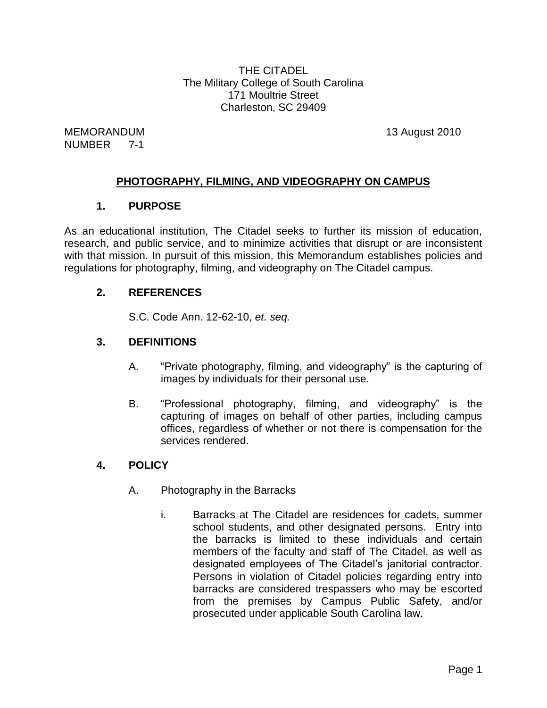THE CITADEL The Military College of South Carolina 171 Moultrie Street Charleston, SC 29409

MEMORANDUM 13 August 2010 NUMBER 7-1

# **PHOTOGRAPHY, FILMING, AND VIDEOGRAPHY ON CAMPUS**

## **1. PURPOSE**

As an educational institution, The Citadel seeks to further its mission of education, research, and public service, and to minimize activities that disrupt or are inconsistent with that mission. In pursuit of this mission, this Memorandum establishes policies and regulations for photography, filming, and videography on The Citadel campus.

## **2. REFERENCES**

S.C. Code Ann. 12-62-10, *et. seq.*

# **3. DEFINITIONS**

- A. "Private photography, filming, and videography" is the capturing of images by individuals for their personal use.
- B. "Professional photography, filming, and videography" is the capturing of images on behalf of other parties, including campus offices, regardless of whether or not there is compensation for the services rendered.

#### **4. POLICY**

- A. Photography in the Barracks
	- i. Barracks at The Citadel are residences for cadets, summer school students, and other designated persons. Entry into the barracks is limited to these individuals and certain members of the faculty and staff of The Citadel, as well as designated employees of The Citadel's janitorial contractor. Persons in violation of Citadel policies regarding entry into barracks are considered trespassers who may be escorted from the premises by Campus Public Safety, and/or prosecuted under applicable South Carolina law.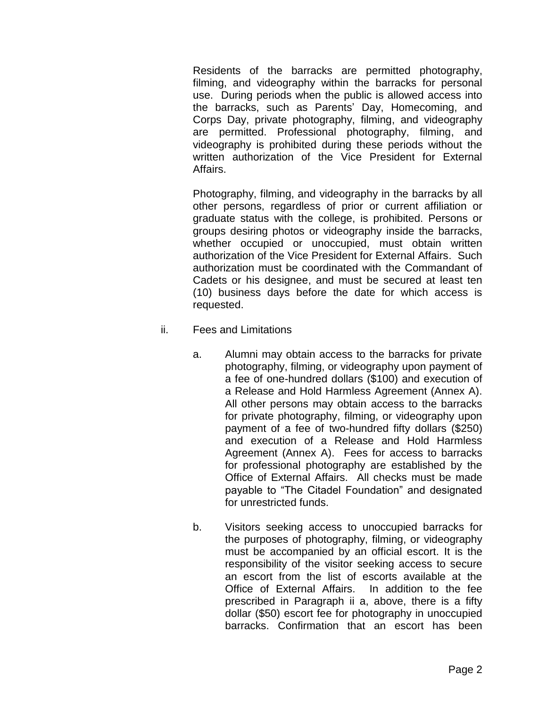Residents of the barracks are permitted photography, filming, and videography within the barracks for personal use. During periods when the public is allowed access into the barracks, such as Parents' Day, Homecoming, and Corps Day, private photography, filming, and videography are permitted. Professional photography, filming, and videography is prohibited during these periods without the written authorization of the Vice President for External Affairs.

Photography, filming, and videography in the barracks by all other persons, regardless of prior or current affiliation or graduate status with the college, is prohibited. Persons or groups desiring photos or videography inside the barracks, whether occupied or unoccupied, must obtain written authorization of the Vice President for External Affairs. Such authorization must be coordinated with the Commandant of Cadets or his designee, and must be secured at least ten (10) business days before the date for which access is requested.

- ii. Fees and Limitations
	- a. Alumni may obtain access to the barracks for private photography, filming, or videography upon payment of a fee of one-hundred dollars (\$100) and execution of a Release and Hold Harmless Agreement (Annex A). All other persons may obtain access to the barracks for private photography, filming, or videography upon payment of a fee of two-hundred fifty dollars (\$250) and execution of a Release and Hold Harmless Agreement (Annex A). Fees for access to barracks for professional photography are established by the Office of External Affairs. All checks must be made payable to "The Citadel Foundation" and designated for unrestricted funds.
	- b. Visitors seeking access to unoccupied barracks for the purposes of photography, filming, or videography must be accompanied by an official escort. It is the responsibility of the visitor seeking access to secure an escort from the list of escorts available at the Office of External Affairs. In addition to the fee prescribed in Paragraph ii a, above, there is a fifty dollar (\$50) escort fee for photography in unoccupied barracks. Confirmation that an escort has been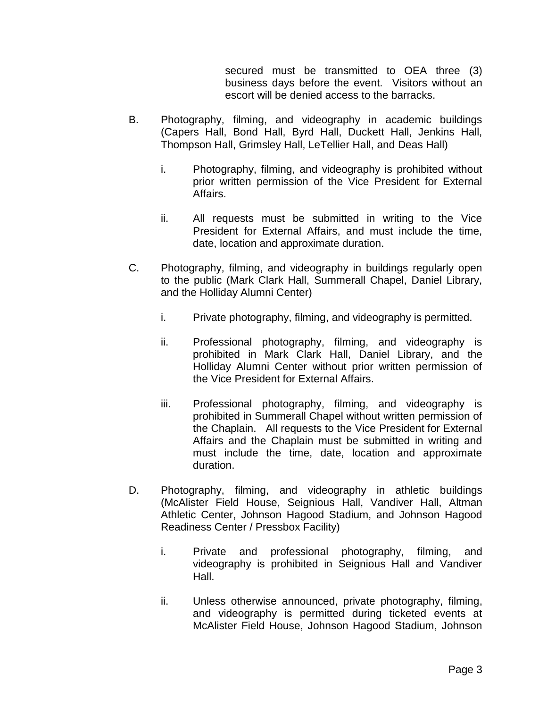secured must be transmitted to OEA three (3) business days before the event. Visitors without an escort will be denied access to the barracks.

- B. Photography, filming, and videography in academic buildings (Capers Hall, Bond Hall, Byrd Hall, Duckett Hall, Jenkins Hall, Thompson Hall, Grimsley Hall, LeTellier Hall, and Deas Hall)
	- i. Photography, filming, and videography is prohibited without prior written permission of the Vice President for External Affairs.
	- ii. All requests must be submitted in writing to the Vice President for External Affairs, and must include the time, date, location and approximate duration.
- C. Photography, filming, and videography in buildings regularly open to the public (Mark Clark Hall, Summerall Chapel, Daniel Library, and the Holliday Alumni Center)
	- i. Private photography, filming, and videography is permitted.
	- ii. Professional photography, filming, and videography is prohibited in Mark Clark Hall, Daniel Library, and the Holliday Alumni Center without prior written permission of the Vice President for External Affairs.
	- iii. Professional photography, filming, and videography is prohibited in Summerall Chapel without written permission of the Chaplain. All requests to the Vice President for External Affairs and the Chaplain must be submitted in writing and must include the time, date, location and approximate duration.
- D. Photography, filming, and videography in athletic buildings (McAlister Field House, Seignious Hall, Vandiver Hall, Altman Athletic Center, Johnson Hagood Stadium, and Johnson Hagood Readiness Center / Pressbox Facility)
	- i. Private and professional photography, filming, and videography is prohibited in Seignious Hall and Vandiver Hall.
	- ii. Unless otherwise announced, private photography, filming, and videography is permitted during ticketed events at McAlister Field House, Johnson Hagood Stadium, Johnson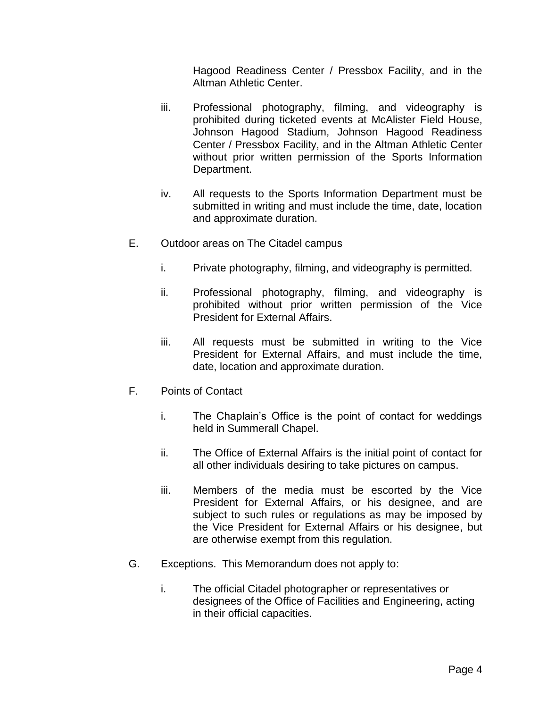Hagood Readiness Center / Pressbox Facility, and in the Altman Athletic Center.

- iii. Professional photography, filming, and videography is prohibited during ticketed events at McAlister Field House, Johnson Hagood Stadium, Johnson Hagood Readiness Center / Pressbox Facility, and in the Altman Athletic Center without prior written permission of the Sports Information Department.
- iv. All requests to the Sports Information Department must be submitted in writing and must include the time, date, location and approximate duration.
- E. Outdoor areas on The Citadel campus
	- i. Private photography, filming, and videography is permitted.
	- ii. Professional photography, filming, and videography is prohibited without prior written permission of the Vice President for External Affairs.
	- iii. All requests must be submitted in writing to the Vice President for External Affairs, and must include the time, date, location and approximate duration.
- F. Points of Contact
	- i. The Chaplain's Office is the point of contact for weddings held in Summerall Chapel.
	- ii. The Office of External Affairs is the initial point of contact for all other individuals desiring to take pictures on campus.
	- iii. Members of the media must be escorted by the Vice President for External Affairs, or his designee, and are subject to such rules or regulations as may be imposed by the Vice President for External Affairs or his designee, but are otherwise exempt from this regulation.
- G. Exceptions. This Memorandum does not apply to:
	- i. The official Citadel photographer or representatives or designees of the Office of Facilities and Engineering, acting in their official capacities.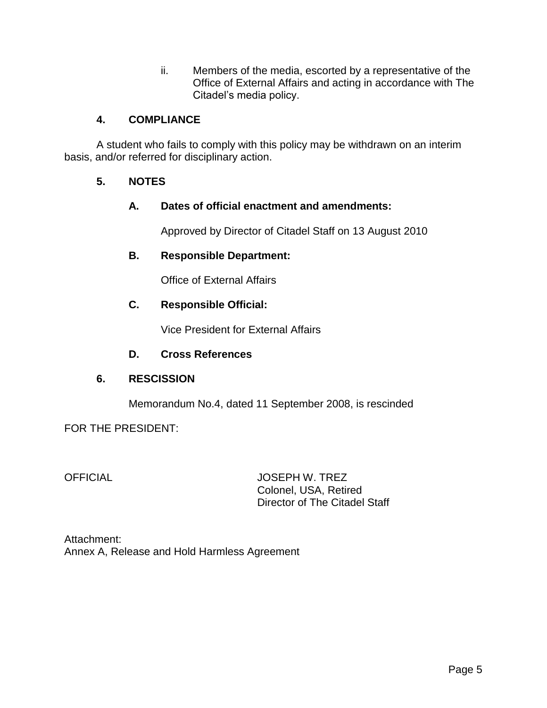ii. Members of the media, escorted by a representative of the Office of External Affairs and acting in accordance with The Citadel's media policy.

## **4. COMPLIANCE**

A student who fails to comply with this policy may be withdrawn on an interim basis, and/or referred for disciplinary action.

## **5. NOTES**

## **A. Dates of official enactment and amendments:**

Approved by Director of Citadel Staff on 13 August 2010

## **B. Responsible Department:**

Office of External Affairs

## **C. Responsible Official:**

Vice President for External Affairs

#### **D. Cross References**

#### **6. RESCISSION**

Memorandum No.4, dated 11 September 2008, is rescinded

#### FOR THE PRESIDENT:

OFFICIAL JOSEPH W. TREZ Colonel, USA, Retired Director of The Citadel Staff

Attachment: Annex A, Release and Hold Harmless Agreement